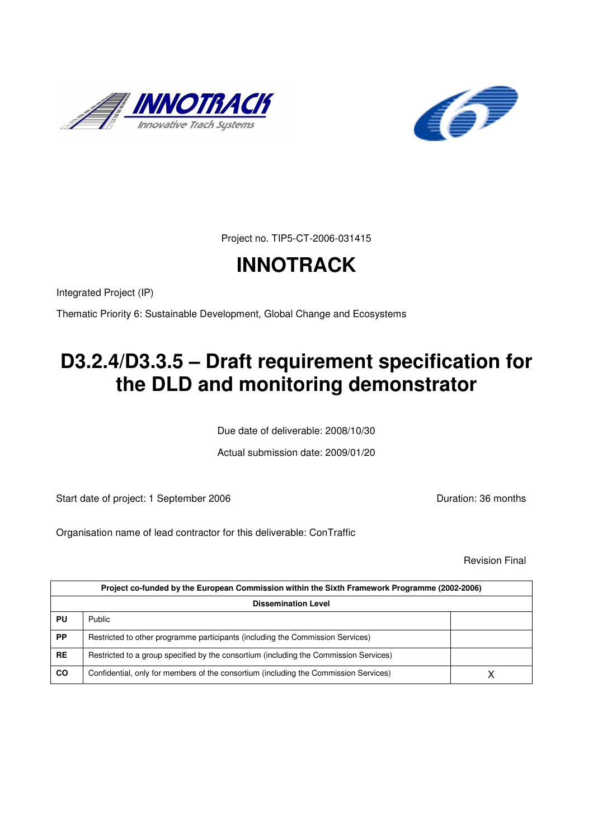



Project no. TIP5-CT-2006-031415

# **INNOTRACK**

Integrated Project (IP)

Thematic Priority 6: Sustainable Development, Global Change and Ecosystems

# **D3.2.4/D3.3.5 – Draft requirement specification for the DLD and monitoring demonstrator**

Due date of deliverable: 2008/10/30

Actual submission date: 2009/01/20

Start date of project: 1 September 2006 **Duration: 36 months** 

Organisation name of lead contractor for this deliverable: ConTraffic

Revision Final

| Project co-funded by the European Commission within the Sixth Framework Programme (2002-2006)<br><b>Dissemination Level</b> |                                                                                       |  |
|-----------------------------------------------------------------------------------------------------------------------------|---------------------------------------------------------------------------------------|--|
|                                                                                                                             |                                                                                       |  |
| PP                                                                                                                          | Restricted to other programme participants (including the Commission Services)        |  |
| <b>RE</b>                                                                                                                   | Restricted to a group specified by the consortium (including the Commission Services) |  |
| <b>CO</b>                                                                                                                   | Confidential, only for members of the consortium (including the Commission Services)  |  |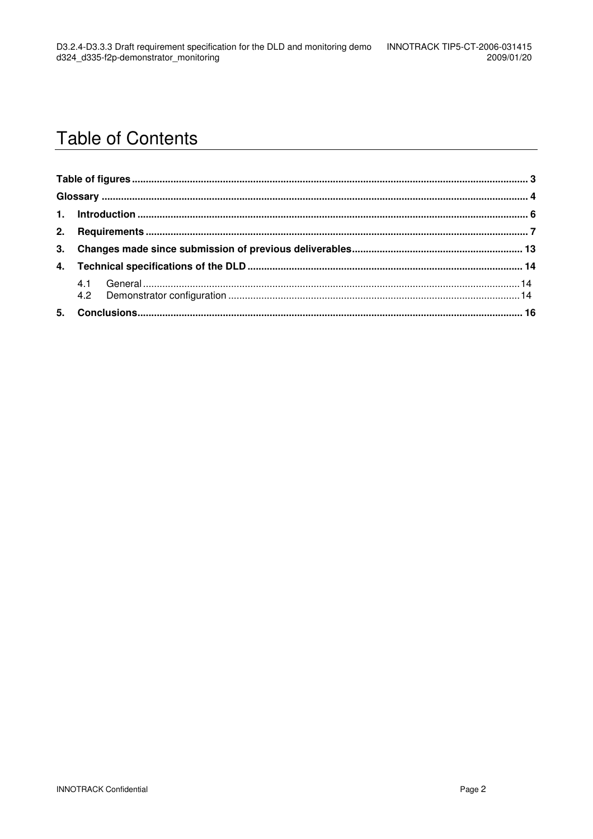### **Table of Contents**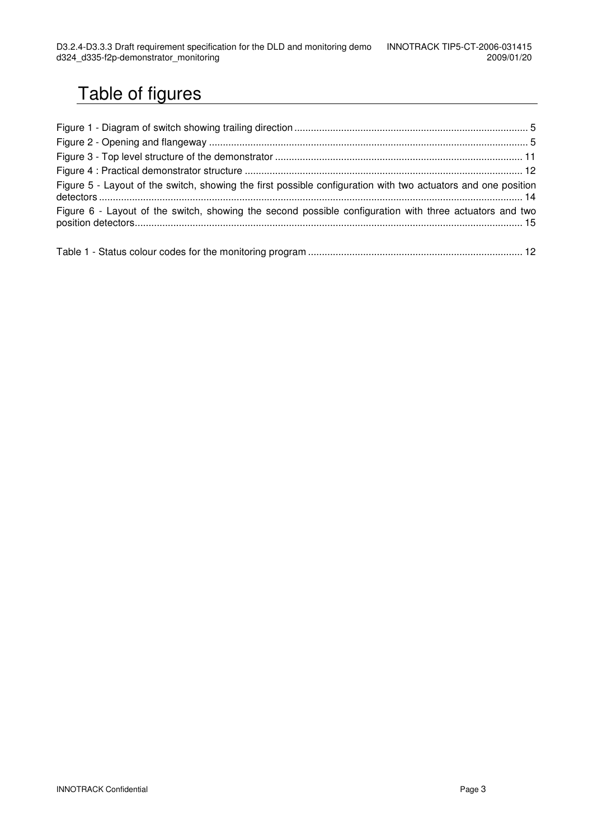## Table of figures

| Figure 5 - Layout of the switch, showing the first possible configuration with two actuators and one position |  |
|---------------------------------------------------------------------------------------------------------------|--|
| Figure 6 - Layout of the switch, showing the second possible configuration with three actuators and two       |  |

Table 1 - Status colour codes for the monitoring program .............................................................................. 12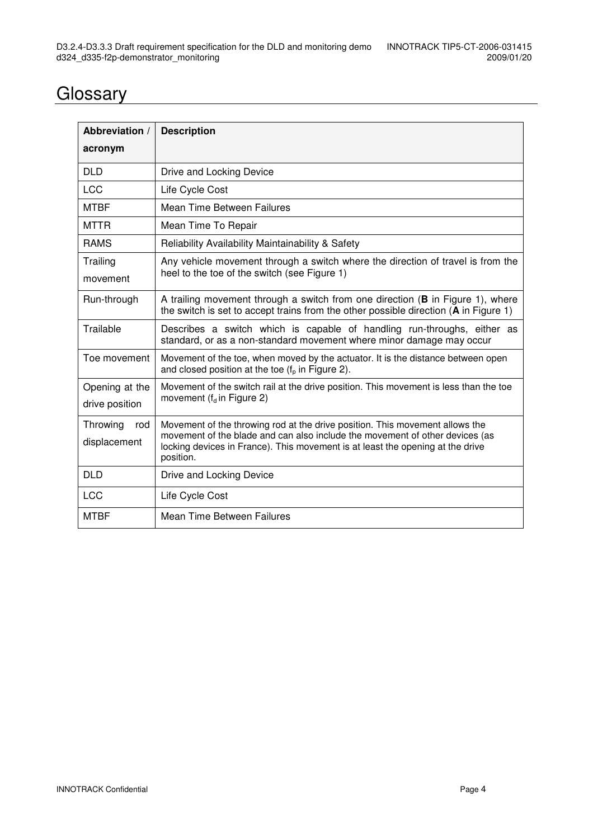### **Glossary**

| Abbreviation /<br>acronym        | <b>Description</b>                                                                                                                                                                                                                                          |
|----------------------------------|-------------------------------------------------------------------------------------------------------------------------------------------------------------------------------------------------------------------------------------------------------------|
| <b>DLD</b>                       | Drive and Locking Device                                                                                                                                                                                                                                    |
| <b>LCC</b>                       | Life Cycle Cost                                                                                                                                                                                                                                             |
| <b>MTBF</b>                      | Mean Time Between Failures                                                                                                                                                                                                                                  |
| <b>MTTR</b>                      | Mean Time To Repair                                                                                                                                                                                                                                         |
| <b>RAMS</b>                      | Reliability Availability Maintainability & Safety                                                                                                                                                                                                           |
| Trailing<br>movement             | Any vehicle movement through a switch where the direction of travel is from the<br>heel to the toe of the switch (see Figure 1)                                                                                                                             |
| Run-through                      | A trailing movement through a switch from one direction (B in Figure 1), where<br>the switch is set to accept trains from the other possible direction $(A \text{ in } Figure 1)$                                                                           |
| Trailable                        | Describes a switch which is capable of handling run-throughs, either as<br>standard, or as a non-standard movement where minor damage may occur                                                                                                             |
| Toe movement                     | Movement of the toe, when moved by the actuator. It is the distance between open<br>and closed position at the toe $(f_n$ in Figure 2).                                                                                                                     |
| Opening at the<br>drive position | Movement of the switch rail at the drive position. This movement is less than the toe<br>movement ( $f_d$ in Figure 2)                                                                                                                                      |
| Throwing<br>rod<br>displacement  | Movement of the throwing rod at the drive position. This movement allows the<br>movement of the blade and can also include the movement of other devices (as<br>locking devices in France). This movement is at least the opening at the drive<br>position. |
| <b>DLD</b>                       | Drive and Locking Device                                                                                                                                                                                                                                    |
| <b>LCC</b>                       | Life Cycle Cost                                                                                                                                                                                                                                             |
| <b>MTBF</b>                      | Mean Time Between Failures                                                                                                                                                                                                                                  |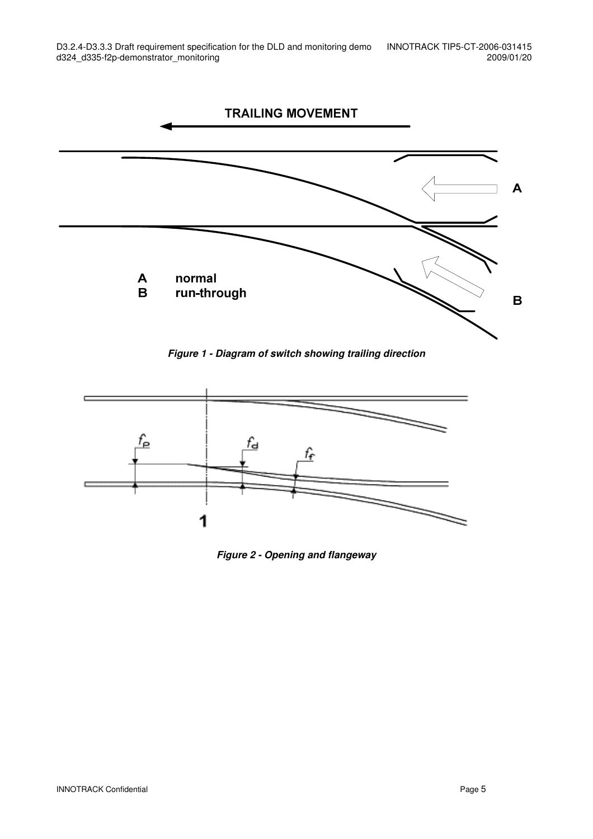

**Figure 1 - Diagram of switch showing trailing direction** 



**Figure 2 - Opening and flangeway**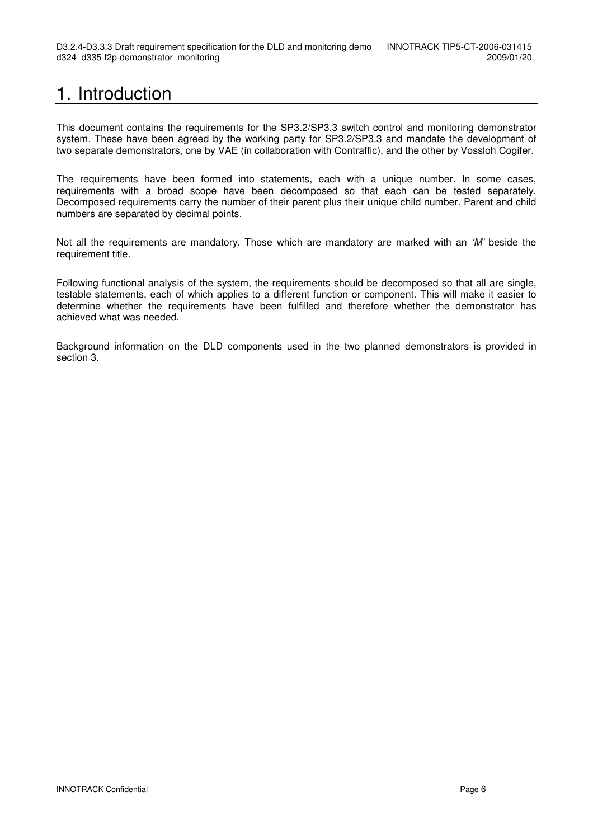## 1. Introduction

This document contains the requirements for the SP3.2/SP3.3 switch control and monitoring demonstrator system. These have been agreed by the working party for SP3.2/SP3.3 and mandate the development of two separate demonstrators, one by VAE (in collaboration with Contraffic), and the other by Vossloh Cogifer.

The requirements have been formed into statements, each with a unique number. In some cases, requirements with a broad scope have been decomposed so that each can be tested separately. Decomposed requirements carry the number of their parent plus their unique child number. Parent and child numbers are separated by decimal points.

Not all the requirements are mandatory. Those which are mandatory are marked with an 'M' beside the requirement title.

Following functional analysis of the system, the requirements should be decomposed so that all are single, testable statements, each of which applies to a different function or component. This will make it easier to determine whether the requirements have been fulfilled and therefore whether the demonstrator has achieved what was needed.

Background information on the DLD components used in the two planned demonstrators is provided in section 3.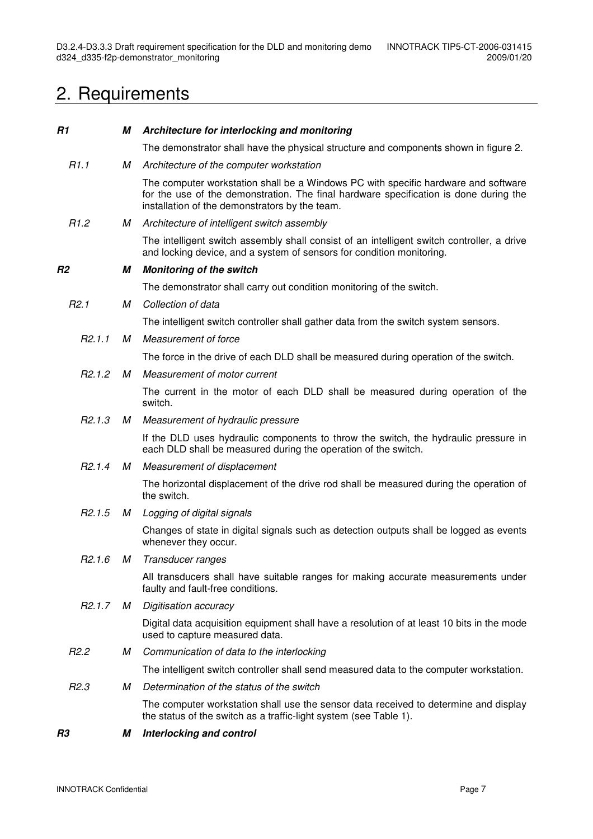## 2. Requirements

| R1                  | М | Architecture for interlocking and monitoring                                                                                                                                                                                  |
|---------------------|---|-------------------------------------------------------------------------------------------------------------------------------------------------------------------------------------------------------------------------------|
|                     |   | The demonstrator shall have the physical structure and components shown in figure 2.                                                                                                                                          |
| R1.1                | М | Architecture of the computer workstation                                                                                                                                                                                      |
|                     |   | The computer workstation shall be a Windows PC with specific hardware and software<br>for the use of the demonstration. The final hardware specification is done during the<br>installation of the demonstrators by the team. |
| R1.2                | M | Architecture of intelligent switch assembly                                                                                                                                                                                   |
|                     |   | The intelligent switch assembly shall consist of an intelligent switch controller, a drive<br>and locking device, and a system of sensors for condition monitoring.                                                           |
| R <sub>2</sub>      | М | <b>Monitoring of the switch</b>                                                                                                                                                                                               |
|                     |   | The demonstrator shall carry out condition monitoring of the switch.                                                                                                                                                          |
| R <sub>2.1</sub>    | М | Collection of data                                                                                                                                                                                                            |
|                     |   | The intelligent switch controller shall gather data from the switch system sensors.                                                                                                                                           |
| R2.1.1              | М | Measurement of force                                                                                                                                                                                                          |
|                     |   | The force in the drive of each DLD shall be measured during operation of the switch.                                                                                                                                          |
| R2.1.2              | М | Measurement of motor current                                                                                                                                                                                                  |
|                     |   | The current in the motor of each DLD shall be measured during operation of the<br>switch.                                                                                                                                     |
| R <sub>2</sub> .1.3 | M | Measurement of hydraulic pressure                                                                                                                                                                                             |
|                     |   | If the DLD uses hydraulic components to throw the switch, the hydraulic pressure in<br>each DLD shall be measured during the operation of the switch.                                                                         |
| R2.1.4              | M | Measurement of displacement                                                                                                                                                                                                   |
|                     |   | The horizontal displacement of the drive rod shall be measured during the operation of<br>the switch.                                                                                                                         |
| R <sub>2</sub> .1.5 | M | Logging of digital signals                                                                                                                                                                                                    |
|                     |   | Changes of state in digital signals such as detection outputs shall be logged as events<br>whenever they occur.                                                                                                               |
| R <sub>2.1.6</sub>  | М | Transducer ranges                                                                                                                                                                                                             |
|                     |   | All transducers shall have suitable ranges for making accurate measurements under<br>faulty and fault-free conditions.                                                                                                        |
| R2.1.7              | М | Digitisation accuracy                                                                                                                                                                                                         |
|                     |   | Digital data acquisition equipment shall have a resolution of at least 10 bits in the mode<br>used to capture measured data.                                                                                                  |
| R <sub>2.2</sub>    | М | Communication of data to the interlocking                                                                                                                                                                                     |
|                     |   | The intelligent switch controller shall send measured data to the computer workstation.                                                                                                                                       |
| R <sub>2.3</sub>    | М | Determination of the status of the switch                                                                                                                                                                                     |
|                     |   | The computer workstation shall use the sensor data received to determine and display<br>the status of the switch as a traffic-light system (see Table 1).                                                                     |
| R <sub>3</sub>      | М | Interlocking and control                                                                                                                                                                                                      |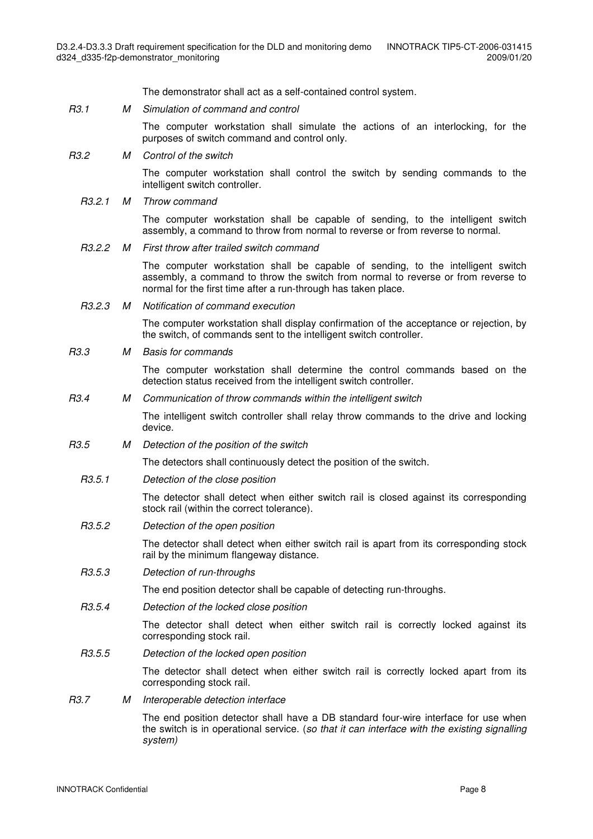The demonstrator shall act as a self-contained control system.

R3.1 M Simulation of command and control

 The computer workstation shall simulate the actions of an interlocking, for the purposes of switch command and control only.

R3.2 M Control of the switch

 The computer workstation shall control the switch by sending commands to the intelligent switch controller.

R3.2.1 M Throw command

 The computer workstation shall be capable of sending, to the intelligent switch assembly, a command to throw from normal to reverse or from reverse to normal.

R3.2.2 M First throw after trailed switch command

 The computer workstation shall be capable of sending, to the intelligent switch assembly, a command to throw the switch from normal to reverse or from reverse to normal for the first time after a run-through has taken place.

R3.2.3 M Notification of command execution

 The computer workstation shall display confirmation of the acceptance or rejection, by the switch, of commands sent to the intelligent switch controller.

R3.3 M Basis for commands

 The computer workstation shall determine the control commands based on the detection status received from the intelligent switch controller.

R3.4 M Communication of throw commands within the intelligent switch

 The intelligent switch controller shall relay throw commands to the drive and locking device.

R3.5 M Detection of the position of the switch

The detectors shall continuously detect the position of the switch.

R3.5.1 Detection of the close position

 The detector shall detect when either switch rail is closed against its corresponding stock rail (within the correct tolerance).

R3.5.2 Detection of the open position

 The detector shall detect when either switch rail is apart from its corresponding stock rail by the minimum flangeway distance.

R3.5.3 Detection of run-throughs

The end position detector shall be capable of detecting run-throughs.

R3.5.4 Detection of the locked close position

 The detector shall detect when either switch rail is correctly locked against its corresponding stock rail.

R3.5.5 Detection of the locked open position

 The detector shall detect when either switch rail is correctly locked apart from its corresponding stock rail.

#### R3.7 M Interoperable detection interface

 The end position detector shall have a DB standard four-wire interface for use when the switch is in operational service. (so that it can interface with the existing signalling system)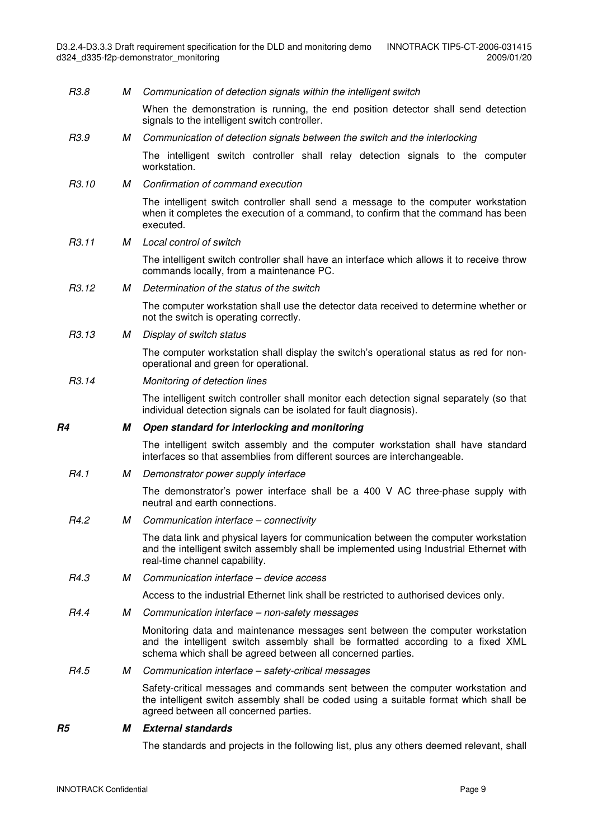| R4.3<br>R4.4<br>R4.5 | М<br>М<br>М | Access to the industrial Ethernet link shall be restricted to authorised devices only.<br>Communication interface - non-safety messages<br>Monitoring data and maintenance messages sent between the computer workstation<br>and the intelligent switch assembly shall be formatted according to a fixed XML<br>schema which shall be agreed between all concerned parties.<br>Communication interface - safety-critical messages<br>Safety-critical messages and commands sent between the computer workstation and<br>the intelligent switch assembly shall be coded using a suitable format which shall be<br>agreed between all concerned parties. |
|----------------------|-------------|--------------------------------------------------------------------------------------------------------------------------------------------------------------------------------------------------------------------------------------------------------------------------------------------------------------------------------------------------------------------------------------------------------------------------------------------------------------------------------------------------------------------------------------------------------------------------------------------------------------------------------------------------------|
|                      |             |                                                                                                                                                                                                                                                                                                                                                                                                                                                                                                                                                                                                                                                        |
|                      |             |                                                                                                                                                                                                                                                                                                                                                                                                                                                                                                                                                                                                                                                        |
|                      |             |                                                                                                                                                                                                                                                                                                                                                                                                                                                                                                                                                                                                                                                        |
|                      |             |                                                                                                                                                                                                                                                                                                                                                                                                                                                                                                                                                                                                                                                        |
|                      |             |                                                                                                                                                                                                                                                                                                                                                                                                                                                                                                                                                                                                                                                        |
|                      |             | Communication interface - device access                                                                                                                                                                                                                                                                                                                                                                                                                                                                                                                                                                                                                |
|                      |             | The data link and physical layers for communication between the computer workstation<br>and the intelligent switch assembly shall be implemented using Industrial Ethernet with<br>real-time channel capability.                                                                                                                                                                                                                                                                                                                                                                                                                                       |
| R <sub>4.2</sub>     | М           | Communication interface - connectivity                                                                                                                                                                                                                                                                                                                                                                                                                                                                                                                                                                                                                 |
|                      |             | The demonstrator's power interface shall be a 400 V AC three-phase supply with<br>neutral and earth connections.                                                                                                                                                                                                                                                                                                                                                                                                                                                                                                                                       |
| R <sub>4.1</sub>     | м           | Demonstrator power supply interface                                                                                                                                                                                                                                                                                                                                                                                                                                                                                                                                                                                                                    |
|                      |             | The intelligent switch assembly and the computer workstation shall have standard<br>interfaces so that assemblies from different sources are interchangeable.                                                                                                                                                                                                                                                                                                                                                                                                                                                                                          |
| R4                   | М           | Open standard for interlocking and monitoring                                                                                                                                                                                                                                                                                                                                                                                                                                                                                                                                                                                                          |
|                      |             | The intelligent switch controller shall monitor each detection signal separately (so that<br>individual detection signals can be isolated for fault diagnosis).                                                                                                                                                                                                                                                                                                                                                                                                                                                                                        |
| R <sub>3</sub> .14   |             | Monitoring of detection lines                                                                                                                                                                                                                                                                                                                                                                                                                                                                                                                                                                                                                          |
|                      |             | The computer workstation shall display the switch's operational status as red for non-<br>operational and green for operational.                                                                                                                                                                                                                                                                                                                                                                                                                                                                                                                       |
| R3.13                | М           | Display of switch status                                                                                                                                                                                                                                                                                                                                                                                                                                                                                                                                                                                                                               |
|                      |             | The computer workstation shall use the detector data received to determine whether or<br>not the switch is operating correctly.                                                                                                                                                                                                                                                                                                                                                                                                                                                                                                                        |
| R <sub>3</sub> .12   | М           | Determination of the status of the switch                                                                                                                                                                                                                                                                                                                                                                                                                                                                                                                                                                                                              |
|                      |             | The intelligent switch controller shall have an interface which allows it to receive throw<br>commands locally, from a maintenance PC.                                                                                                                                                                                                                                                                                                                                                                                                                                                                                                                 |
| R3.11                | M           | Local control of switch                                                                                                                                                                                                                                                                                                                                                                                                                                                                                                                                                                                                                                |
|                      |             | The intelligent switch controller shall send a message to the computer workstation<br>when it completes the execution of a command, to confirm that the command has been<br>executed.                                                                                                                                                                                                                                                                                                                                                                                                                                                                  |
| R3.10                | М           | Confirmation of command execution                                                                                                                                                                                                                                                                                                                                                                                                                                                                                                                                                                                                                      |
|                      |             | The intelligent switch controller shall relay detection signals to the computer<br>workstation.                                                                                                                                                                                                                                                                                                                                                                                                                                                                                                                                                        |
| R3.9                 | М           | Communication of detection signals between the switch and the interlocking                                                                                                                                                                                                                                                                                                                                                                                                                                                                                                                                                                             |
|                      |             | When the demonstration is running, the end position detector shall send detection<br>signals to the intelligent switch controller.                                                                                                                                                                                                                                                                                                                                                                                                                                                                                                                     |
|                      |             | Communication of detection signals within the intelligent switch                                                                                                                                                                                                                                                                                                                                                                                                                                                                                                                                                                                       |

The standards and projects in the following list, plus any others deemed relevant, shall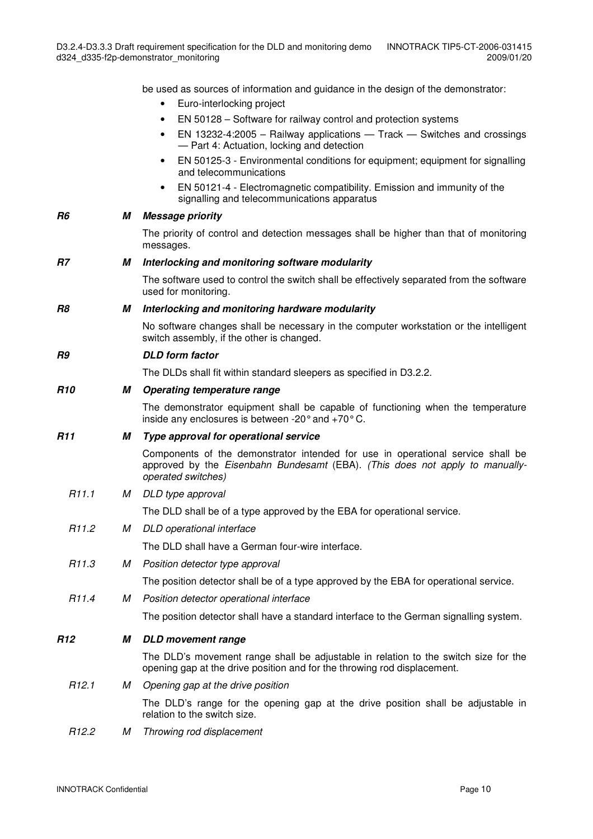be used as sources of information and guidance in the design of the demonstrator:

- Euro-interlocking project
- EN 50128 Software for railway control and protection systems
- EN 13232-4:2005 Railway applications Track Switches and crossings — Part 4: Actuation, locking and detection
- EN 50125-3 Environmental conditions for equipment; equipment for signalling and telecommunications
- EN 50121-4 Electromagnetic compatibility. Emission and immunity of the signalling and telecommunications apparatus

#### **R6 M Message priority**

 The priority of control and detection messages shall be higher than that of monitoring messages.

#### **R7 M Interlocking and monitoring software modularity**

 The software used to control the switch shall be effectively separated from the software used for monitoring.

#### **R8 M Interlocking and monitoring hardware modularity**

 No software changes shall be necessary in the computer workstation or the intelligent switch assembly, if the other is changed.

#### **R9 DLD form factor**

The DLDs shall fit within standard sleepers as specified in D3.2.2.

#### **R10 M Operating temperature range**

 The demonstrator equipment shall be capable of functioning when the temperature inside any enclosures is between -20° and +70° C.

#### **R11 M Type approval for operational service**

 Components of the demonstrator intended for use in operational service shall be approved by the Eisenbahn Bundesamt (EBA). (This does not apply to manuallyoperated switches)

R11.1 M DLD type approval

The DLD shall be of a type approved by the EBA for operational service.

R11.2 M DLD operational interface

The DLD shall have a German four-wire interface.

#### R11.3 M Position detector type approval

The position detector shall be of a type approved by the EBA for operational service.

R11.4 M Position detector operational interface

The position detector shall have a standard interface to the German signalling system.

#### **R12 M DLD movement range**

 The DLD's movement range shall be adjustable in relation to the switch size for the opening gap at the drive position and for the throwing rod displacement.

#### R12.1 M Opening gap at the drive position

 The DLD's range for the opening gap at the drive position shall be adjustable in relation to the switch size.

R12.2 M Throwing rod displacement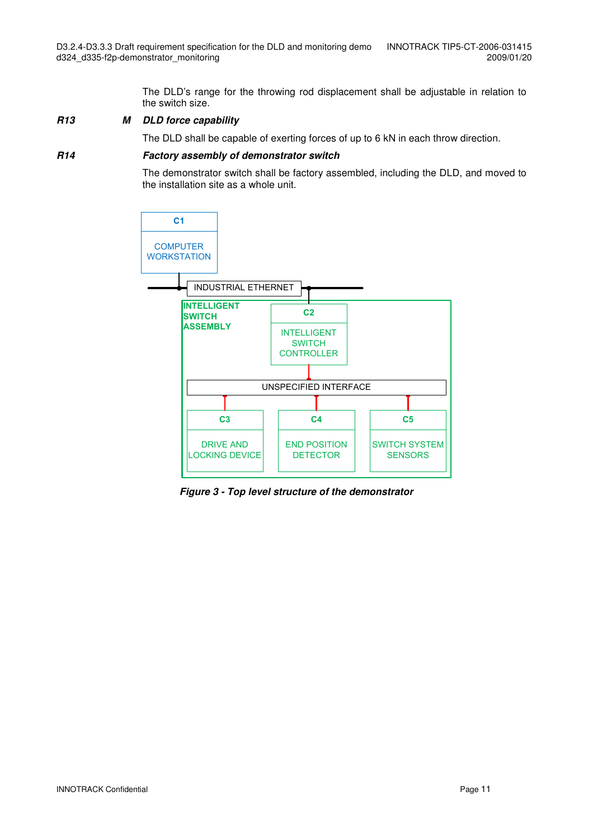The DLD's range for the throwing rod displacement shall be adjustable in relation to the switch size.

#### **R13 M DLD force capability**

The DLD shall be capable of exerting forces of up to 6 kN in each throw direction.

#### **R14 Factory assembly of demonstrator switch**

 The demonstrator switch shall be factory assembled, including the DLD, and moved to the installation site as a whole unit.



**Figure 3 - Top level structure of the demonstrator**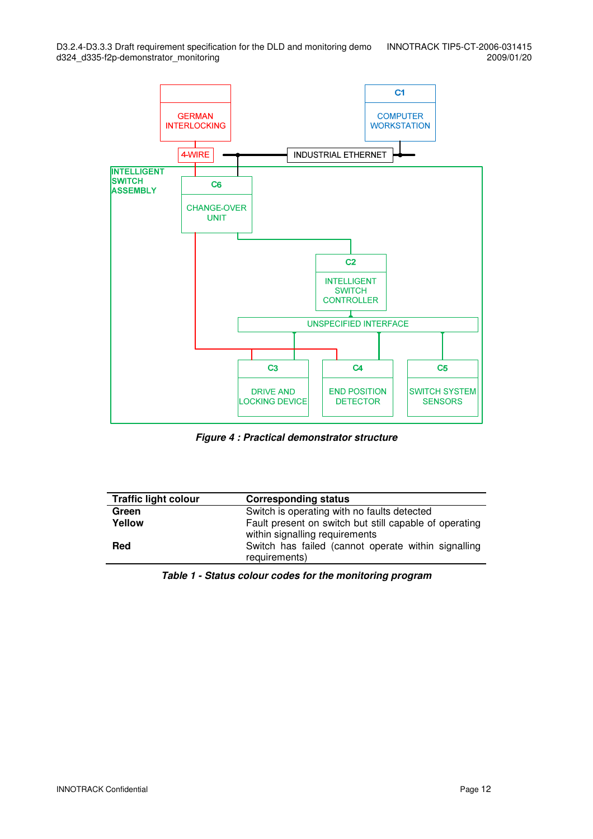

**Figure 4 : Practical demonstrator structure** 

| <b>Traffic light colour</b> | <b>Corresponding status</b>                                                              |
|-----------------------------|------------------------------------------------------------------------------------------|
| Green                       | Switch is operating with no faults detected                                              |
| Yellow                      | Fault present on switch but still capable of operating<br>within signalling requirements |
| Red                         | Switch has failed (cannot operate within signalling<br>requirements)                     |

**Table 1 - Status colour codes for the monitoring program**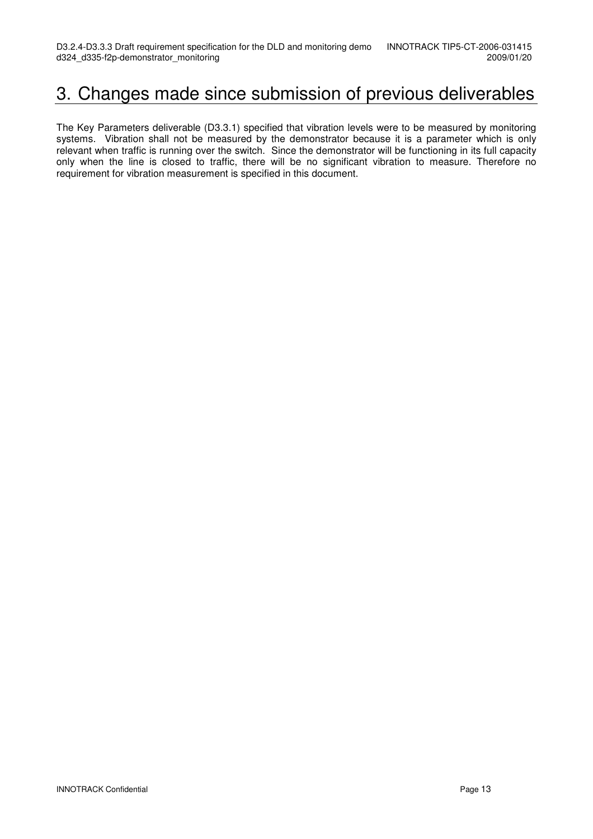### 3. Changes made since submission of previous deliverables

The Key Parameters deliverable (D3.3.1) specified that vibration levels were to be measured by monitoring systems. Vibration shall not be measured by the demonstrator because it is a parameter which is only relevant when traffic is running over the switch. Since the demonstrator will be functioning in its full capacity only when the line is closed to traffic, there will be no significant vibration to measure. Therefore no requirement for vibration measurement is specified in this document.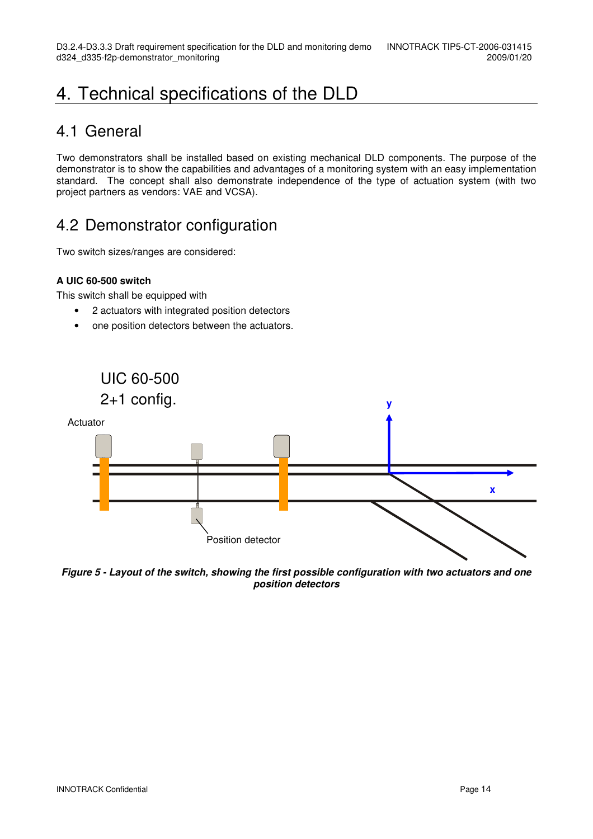## 4. Technical specifications of the DLD

### 4.1 General

Two demonstrators shall be installed based on existing mechanical DLD components. The purpose of the demonstrator is to show the capabilities and advantages of a monitoring system with an easy implementation standard. The concept shall also demonstrate independence of the type of actuation system (with two project partners as vendors: VAE and VCSA).

### 4.2 Demonstrator configuration

Two switch sizes/ranges are considered:

#### **A UIC 60-500 switch**

This switch shall be equipped with

- 2 actuators with integrated position detectors
- one position detectors between the actuators.



**Figure 5 - Layout of the switch, showing the first possible configuration with two actuators and one position detectors**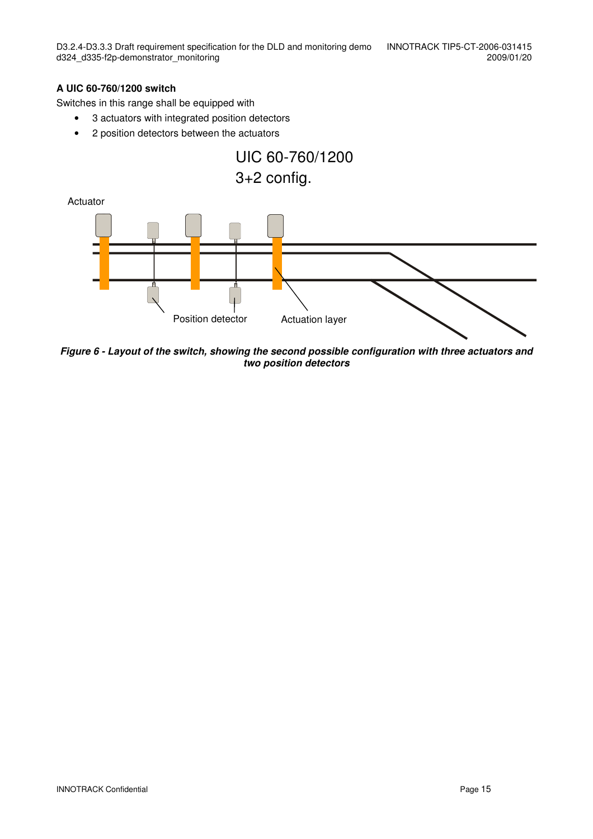#### **A UIC 60-760/1200 switch**

Switches in this range shall be equipped with

- 3 actuators with integrated position detectors
- 2 position detectors between the actuators



**Figure 6 - Layout of the switch, showing the second possible configuration with three actuators and two position detectors**